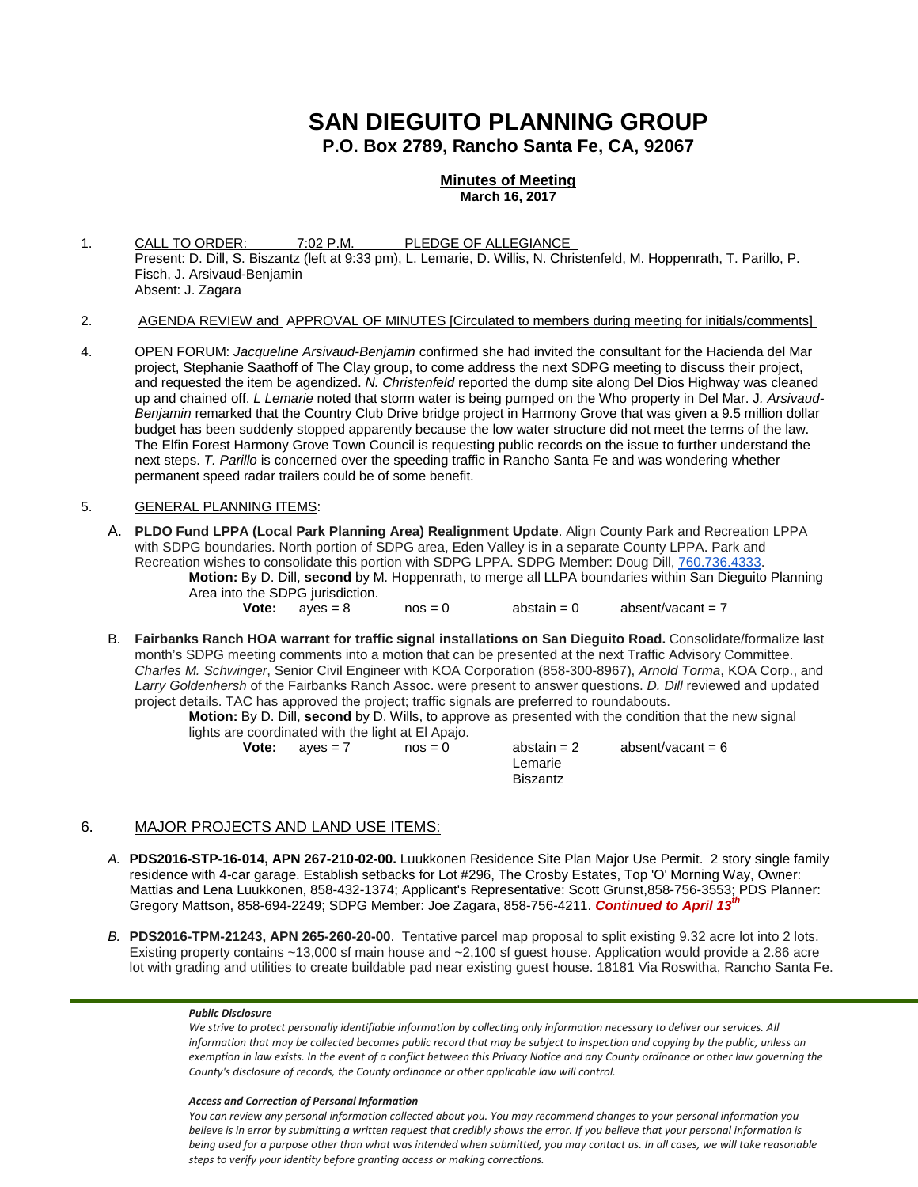# **SAN DIEGUITO PLANNING GROUP P.O. Box 2789, Rancho Santa Fe, CA, 92067**

### **Minutes of Meeting March 16, 2017**

- 1. CALL TO ORDER: 7:02 P.M. PLEDGE OF ALLEGIANCE Present: D. Dill, S. Biszantz (left at 9:33 pm), L. Lemarie, D. Willis, N. Christenfeld, M. Hoppenrath, T. Parillo, P. Fisch, J. Arsivaud-Benjamin Absent: J. Zagara
- 2. AGENDA REVIEW and APPROVAL OF MINUTES [Circulated to members during meeting for initials/comments]
- 4. OPEN FORUM: *Jacqueline Arsivaud-Benjamin* confirmed she had invited the consultant for the Hacienda del Mar project, Stephanie Saathoff of The Clay group, to come address the next SDPG meeting to discuss their project, and requested the item be agendized. *N. Christenfeld* reported the dump site along Del Dios Highway was cleaned up and chained off. *L Lemarie* noted that storm water is being pumped on the Who property in Del Mar. J*. Arsivaud-Benjamin* remarked that the Country Club Drive bridge project in Harmony Grove that was given a 9.5 million dollar budget has been suddenly stopped apparently because the low water structure did not meet the terms of the law. The Elfin Forest Harmony Grove Town Council is requesting public records on the issue to further understand the next steps. *T. Parillo* is concerned over the speeding traffic in Rancho Santa Fe and was wondering whether permanent speed radar trailers could be of some benefit.

### 5. GENERAL PLANNING ITEMS:

A. **PLDO Fund LPPA (Local Park Planning Area) Realignment Update**. Align County Park and Recreation LPPA with SDPG boundaries. North portion of SDPG area, Eden Valley is in a separate County LPPA. Park and Recreation wishes to consolidate this portion with SDPG LPPA. SDPG Member: Doug Dill, [760.736.4333.](tel:(760)%20736-4333)

**Motion:** By D. Dill, **second** by M. Hoppenrath, to merge all LLPA boundaries within San Dieguito Planning Area into the SDPG jurisdiction.<br> **Vote:**  $a$ yes = 8

 $nos = 0$  abstain = 0 absent/vacant = 7

B. **Fairbanks Ranch HOA warrant for traffic signal installations on San Dieguito Road.** Consolidate/formalize last month's SDPG meeting comments into a motion that can be presented at the next Traffic Advisory Committee. *Charles M. Schwinger*, Senior Civil Engineer with KOA Corporation [\(858-300-8967\)](tel:(858)%20300-8967), *Arnold Torma*, KOA Corp., and *Larry Goldenhersh* of the Fairbanks Ranch Assoc. were present to answer questions. *D. Dill* reviewed and updated project details. TAC has approved the project; traffic signals are preferred to roundabouts.

**Motion:** By D. Dill, **second** by D. Wills, to approve as presented with the condition that the new signal lights are coordinated with the light at El Apajo.

| Vote: | aves = $7$ | $nos = 0$ | abstain = 2 | absent/vacant = 6 |
|-------|------------|-----------|-------------|-------------------|
|       |            |           | Lemarie     |                   |
|       |            |           | Biszantz    |                   |

# 6. MAJOR PROJECTS AND LAND USE ITEMS:

- *A.* **PDS2016-STP-16-014, APN 267-210-02-00.** Luukkonen Residence Site Plan Major Use Permit. 2 story single family residence with 4-car garage. Establish setbacks for Lot #296, The Crosby Estates, Top 'O' Morning Way, Owner: Mattias and Lena Luukkonen, [858-432-1374;](tel:858-432-1374) Applicant's Representative: Scott Grunst[,858-756-3553;](tel:858-756-3553) PDS Planner: Gregory Mattson, [858-694-2249;](tel:858-694-2249) SDPG Member: Joe Zagara, [858-756-4211.](tel:858-756-4211) *Continued to April 13th*
- *B.* **PDS2016-TPM-21243, APN 265-260-20-00**. Tentative parcel map proposal to split existing 9.32 acre lot into 2 lots. Existing property contains ~13,000 sf main house and ~2,100 sf guest house. Application would provide a 2.86 acre lot with grading and utilities to create buildable pad near existing guest house. 18181 Via Roswitha, Rancho Santa Fe.

### *Public Disclosure*

*We strive to protect personally identifiable information by collecting only information necessary to deliver our services. All information that may be collected becomes public record that may be subject to inspection and copying by the public, unless an exemption in law exists. In the event of a conflict between this Privacy Notice and any County ordinance or other law governing the County's disclosure of records, the County ordinance or other applicable law will control.*

### *Access and Correction of Personal Information*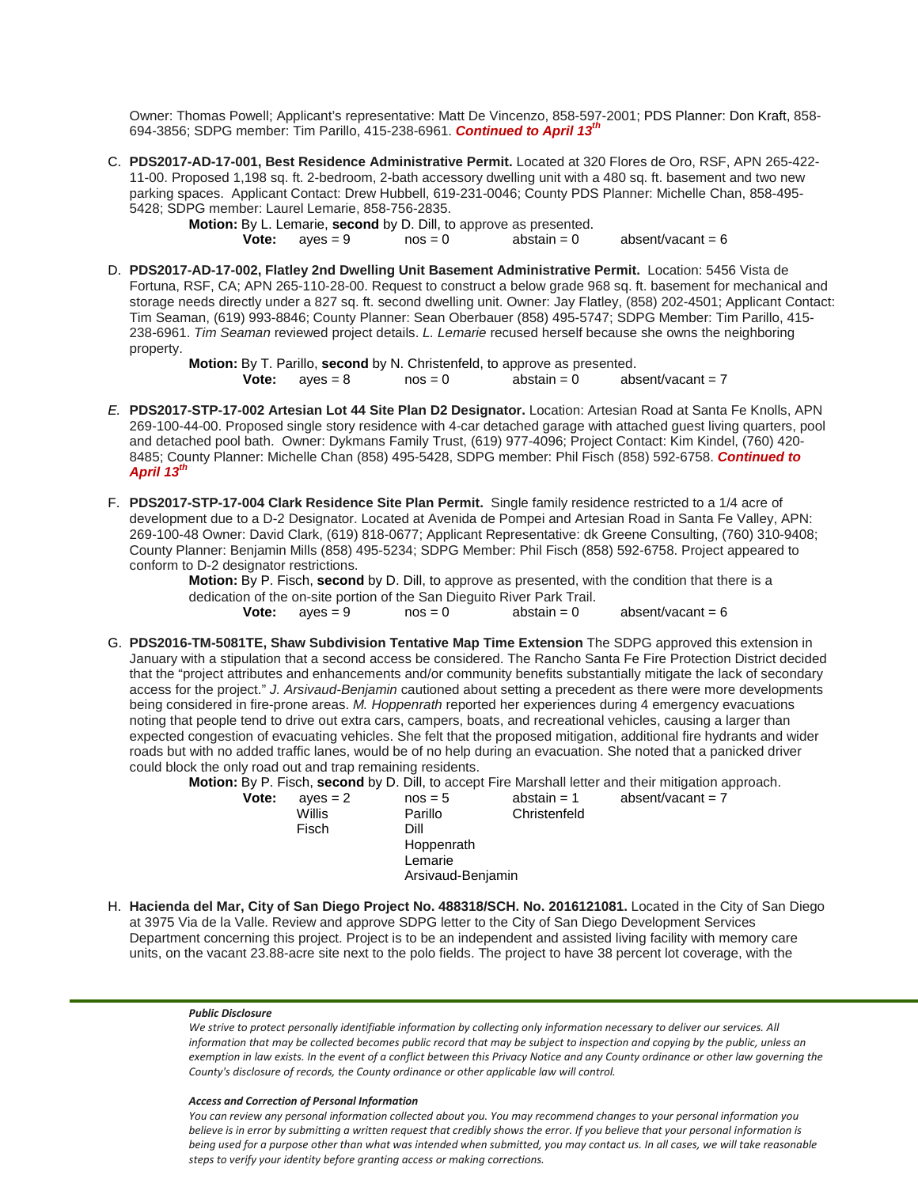Owner: Thomas Powell; Applicant's representative: Matt De Vincenzo, 858-597-2001; PDS Planner: Don Kraft, 858- 694-3856; SDPG member: Tim Parillo, [415-238-6961.](tel:415-238-6961) *Continued to April 13th*

C. **PDS2017-AD-17-001, Best Residence Administrative Permit.** Located at 320 Flores de Oro, RSF, APN 265-422- 11-00. Proposed 1,198 sq. ft. 2-bedroom, 2-bath accessory dwelling unit with a 480 sq. ft. basement and two new parking spaces. Applicant Contact: Drew Hubbell, [619-231-0046;](tel:(619)%20231-0046) County PDS Planner: Michelle Chan, [858-495-](tel:(858)%20495-5428) [5428;](tel:(858)%20495-5428) SDPG member: Laurel Lemarie, [858-756-2835.](tel:(858)%20756-2835)

**Motion:** By L. Lemarie, **second** by D. Dill, to approve as presented.<br>**Vote:** ayes = 9 nos = 0 abstain = 0  $absent/vacant = 6$ 

D. **PDS2017-AD-17-002, Flatley 2nd Dwelling Unit Basement Administrative Permit.** Location: 5456 Vista de Fortuna, RSF, CA; APN 265-110-28-00. Request to construct a below grade 968 sq. ft. basement for mechanical and storage needs directly under a 827 sq. ft. second dwelling unit. Owner: Jay Flatley, [\(858\) 202-4501;](tel:(858)%20202-4501) Applicant Contact: Tim Seaman, [\(619\) 993-8846;](tel:(619)%20993-8846) County Planner: Sean Oberbauer [\(858\) 495-5747;](tel:(858)%20495-5747) SDPG Member: Tim Parillo, [415-](tel:(858)%20756-2835) [238-6961.](tel:(858)%20756-2835) *Tim Seaman* reviewed project details. *L. Lemarie* recused herself because she owns the neighboring property.

**Motion:** By T. Parillo, **second** by N. Christenfeld, to approve as presented.<br>**Vote:** aves = 8 nos = 0 abstain = 0 abs **Vote:**  $aves = 8$  nos  $= 0$  abstain  $= 0$  absent/vacant  $= 7$ 

- *E.* **PDS2017-STP-17-002 Artesian Lot 44 Site Plan D2 Designator.** Location: Artesian Road at Santa Fe Knolls, APN 269-100-44-00. Proposed single story residence with 4-car detached garage with attached guest living quarters, pool and detached pool bath. Owner: Dykmans Family Trust, [\(619\) 977-4096;](tel:(619)%20977-4096) Project Contact: Kim Kindel, [\(760\) 420-](tel:(760)%20420-8485) [8485;](tel:(760)%20420-8485) County Planner: Michelle Chan [\(858\) 495-5428,](tel:(858)%20495-5428) SDPG member: Phil Fisch [\(858\) 592-6758.](tel:(858)%20592-6758) *Continued to April 13th*
- F. **PDS2017-STP-17-004 Clark Residence Site Plan Permit.** Single family residence restricted to a 1/4 acre of development due to a D-2 Designator. Located at Avenida de Pompei and Artesian Road in Santa Fe Valley, APN: 269-100-48 Owner: David Clark, [\(619\) 818-0677;](tel:(619)%20818-0677) Applicant Representative: dk Greene Consulting, [\(760\) 310-9408;](tel:(760)%20310-9408) County Planner: Benjamin Mills [\(858\) 495-5234;](tel:(858)%20495-5234) SDPG Member: Phil Fisch [\(858\) 592-6758.](tel:(858)%20592-6758) Project appeared to conform to D-2 designator restrictions.

**Motion:** By P. Fisch, **second** by D. Dill, to approve as presented, with the condition that there is a dedication of the on-site portion of the San Dieguito River Park Trail.<br> **Vote:**  $a$ yes = 9  $a$  nos = 0  $a$ bstain = 0  $aves = 9$   $nos = 0$   $abstain = 0$  absent/vacant = 6

G. **PDS2016-TM-5081TE, Shaw Subdivision Tentative Map Time Extension** The SDPG approved this extension in January with a stipulation that a second access be considered. The Rancho Santa Fe Fire Protection District decided that the "project attributes and enhancements and/or community benefits substantially mitigate the lack of secondary access for the project." *J. Arsivaud-Benjamin* cautioned about setting a precedent as there were more developments being considered in fire-prone areas. *M. Hoppenrath* reported her experiences during 4 emergency evacuations noting that people tend to drive out extra cars, campers, boats, and recreational vehicles, causing a larger than expected congestion of evacuating vehicles. She felt that the proposed mitigation, additional fire hydrants and wider roads but with no added traffic lanes, would be of no help during an evacuation. She noted that a panicked driver could block the only road out and trap remaining residents.

**Motion:** By P. Fisch, **second** by D. Dill, to accept Fire Marshall letter and their mitigation approach.<br>**Vote:** ayes = 2 nos = 5 abstain = 1 absent/vacant = 7

**Vote:** ayes = 2 nos = 5 abstain = 1 absent/vacant = 7 Parillo Christenfeld<br>Dill Fisch Hoppenrath Lemarie Arsivaud-Benjamin

H. **Hacienda del Mar, City of San Diego Project No. 488318/SCH. No. [2016121081.](tel:(201)%20612-1081)** Located in the City of San Diego at 3975 Via de la Valle. Review and approve SDPG letter to the City of San Diego Development Services Department concerning this project. Project is to be an independent and assisted living facility with memory care units, on the vacant 23.88-acre site next to the polo fields. The project to have 38 percent lot coverage, with the

### *Public Disclosure*

*We strive to protect personally identifiable information by collecting only information necessary to deliver our services. All information that may be collected becomes public record that may be subject to inspection and copying by the public, unless an exemption in law exists. In the event of a conflict between this Privacy Notice and any County ordinance or other law governing the County's disclosure of records, the County ordinance or other applicable law will control.*

### *Access and Correction of Personal Information*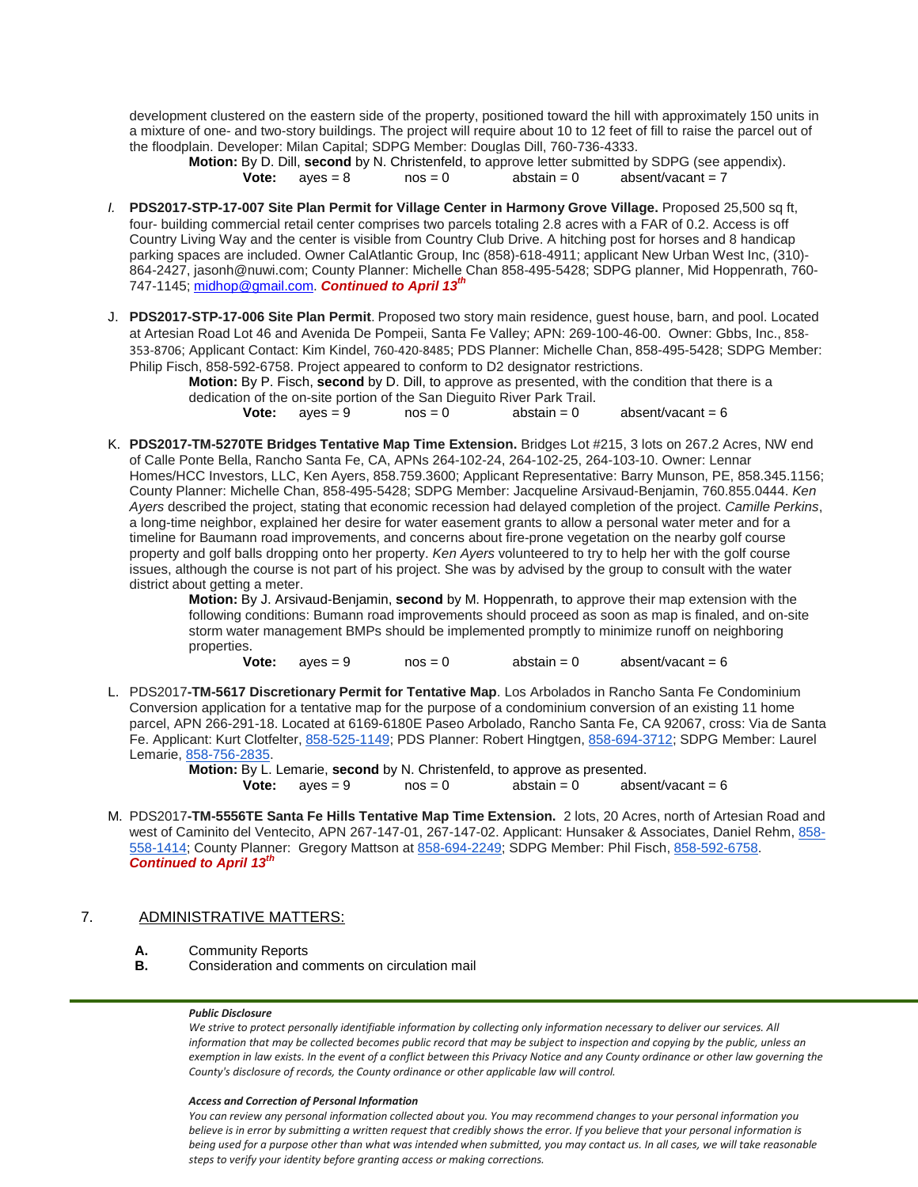development clustered on the eastern side of the property, positioned toward the hill with approximately 150 units in a mixture of one- and two-story buildings. The project will require about 10 to 12 feet of fill to raise the parcel out of the floodplain. Developer: Milan Capital; SDPG Member: Douglas Dill, [760-736-4333.](tel:(760)%20736-4333)

**Motion:** By D. Dill, **second** by N. Christenfeld, to approve letter submitted by SDPG (see appendix). **Vote:**  $a$ yes = 8  $a$  nos = 0  $a$ bstain = 0  $a$ bsent/vacant = 7

- *I.* **PDS2017-STP-17-007 Site Plan Permit for Village Center in Harmony Grove Village.** Proposed 25,500 sq ft, four- building commercial retail center comprises two parcels totaling 2.8 acres with a FAR of 0.2. Access is off Country Living Way and the center is visible from Country Club Drive. A hitching post for horses and 8 handicap parking spaces are included. Owner CalAtlantic Group, Inc (858)-618-4911; applicant New Urban West Inc, (310)- 864-2427[, jasonh@nuwi.com;](mailto:jasonh@nuwi.com) County Planner: Michelle Chan 858-495-5428; SDPG planner, Mid Hoppenrath, 760- 747-1145[; midhop@gmail.com.](mailto:midhop@gmail.com) *Continued to April 13th*
- J. **PDS2017-STP-17-006 Site Plan Permit**. Proposed two story main residence, guest house, barn, and pool. Located at Artesian Road Lot 46 and Avenida De Pompeii, Santa Fe Valley; APN: 269-100-46-00. Owner: Gbbs, Inc., [858-](tel:(858)%20353-8706) [353-8706](tel:(858)%20353-8706); Applicant Contact: Kim Kindel, [760-420-8485](tel:(760)%20420-8485); PDS Planner: Michelle Chan, 858-495-5428; SDPG Member: Philip Fisch, [858-592-6758.](tel:(858)%20592-6758) Project appeared to conform to D2 designator restrictions.

**Motion:** By P. Fisch, **second** by D. Dill, to approve as presented, with the condition that there is a dedication of the on-site portion of the San Dieguito River Park Trail.<br> **Vote:**  $a$ yes = 9  $a$  nos = 0  $a$ bstain = 0 absent/vacant = 6

K. **PDS2017-TM-5270TE Bridges Tentative Map Time Extension.** Bridges Lot #215, 3 lots on 267.2 Acres, NW end of Calle Ponte Bella, Rancho Santa Fe, CA, APNs 264-102-24, 264-102-25, 264-103-10. Owner: Lennar Homes/HCC Investors, LLC, Ken Ayers, [858.759.3600;](tel:(858)%20759-3600) Applicant Representative: Barry Munson, PE, [858.345.1156;](tel:(858)%20345-1156) County Planner: Michelle Chan, [858-495-5428;](tel:(858)%20495-5428) SDPG Member: Jacqueline Arsivaud-Benjamin, [760.855.0444.](tel:(760)%20855-0444) *Ken Ayers* described the project, stating that economic recession had delayed completion of the project. *Camille Perkins*, a long-time neighbor, explained her desire for water easement grants to allow a personal water meter and for a timeline for Baumann road improvements, and concerns about fire-prone vegetation on the nearby golf course property and golf balls dropping onto her property. *Ken Ayers* volunteered to try to help her with the golf course issues, although the course is not part of his project. She was by advised by the group to consult with the water district about getting a meter.

> **Motion:** By J. Arsivaud-Benjamin, **second** by M. Hoppenrath, to approve their map extension with the following conditions: Bumann road improvements should proceed as soon as map is finaled, and on-site storm water management BMPs should be implemented promptly to minimize runoff on neighboring properties.<br> **Vote:**

 $aves = 9$   $nos = 0$   $abstain = 0$   $absent/vacant = 6$ 

L. PDS2017**-TM-5617 Discretionary Permit for Tentative Map**. Los Arbolados in Rancho Santa Fe Condominium Conversion application for a tentative map for the purpose of a condominium conversion of an existing 11 home parcel, APN 266-291-18. Located at 6169-6180E Paseo Arbolado, Rancho Santa Fe, CA 92067, cross: Via de Santa Fe. Applicant: Kurt Clotfelter, [858-525-1149;](tel:(858)%20525-1149) PDS Planner: Robert Hingtgen, [858-694-3712;](tel:(858)%20694-3712) SDPG Member: Laurel Lemarie, [858-756-2835.](tel:(858)%20756-2835)

**Motion:** By L. Lemarie, **second** by N. Christenfeld, to approve as presented.<br> **Vote:** ayes = 9 nos = 0 abstain = 0 absent/vacant = 6 **Vote:**  $ayes = 9$ 

M. PDS2017**-TM-5556TE Santa Fe Hills Tentative Map Time Extension.** 2 lots, 20 Acres, north of Artesian Road and west of Caminito del Ventecito, APN 267-147-01, 267-147-02. Applicant: Hunsaker & Associates, Daniel Rehm, [858-](tel:(858)%20558-1414) [558-1414;](tel:(858)%20558-1414) County Planner: Gregory Mattson at [858-694-2249;](tel:(858)%20694-2249) SDPG Member: Phil Fisch, [858-592-6758.](tel:(858)%20592-6758) *Continued to April 13th*

# 7. ADMINISTRATIVE MATTERS:

- **A.** Community Reports
- **B.** Consideration and comments on circulation mail

### *Public Disclosure*

*We strive to protect personally identifiable information by collecting only information necessary to deliver our services. All information that may be collected becomes public record that may be subject to inspection and copying by the public, unless an exemption in law exists. In the event of a conflict between this Privacy Notice and any County ordinance or other law governing the County's disclosure of records, the County ordinance or other applicable law will control.*

### *Access and Correction of Personal Information*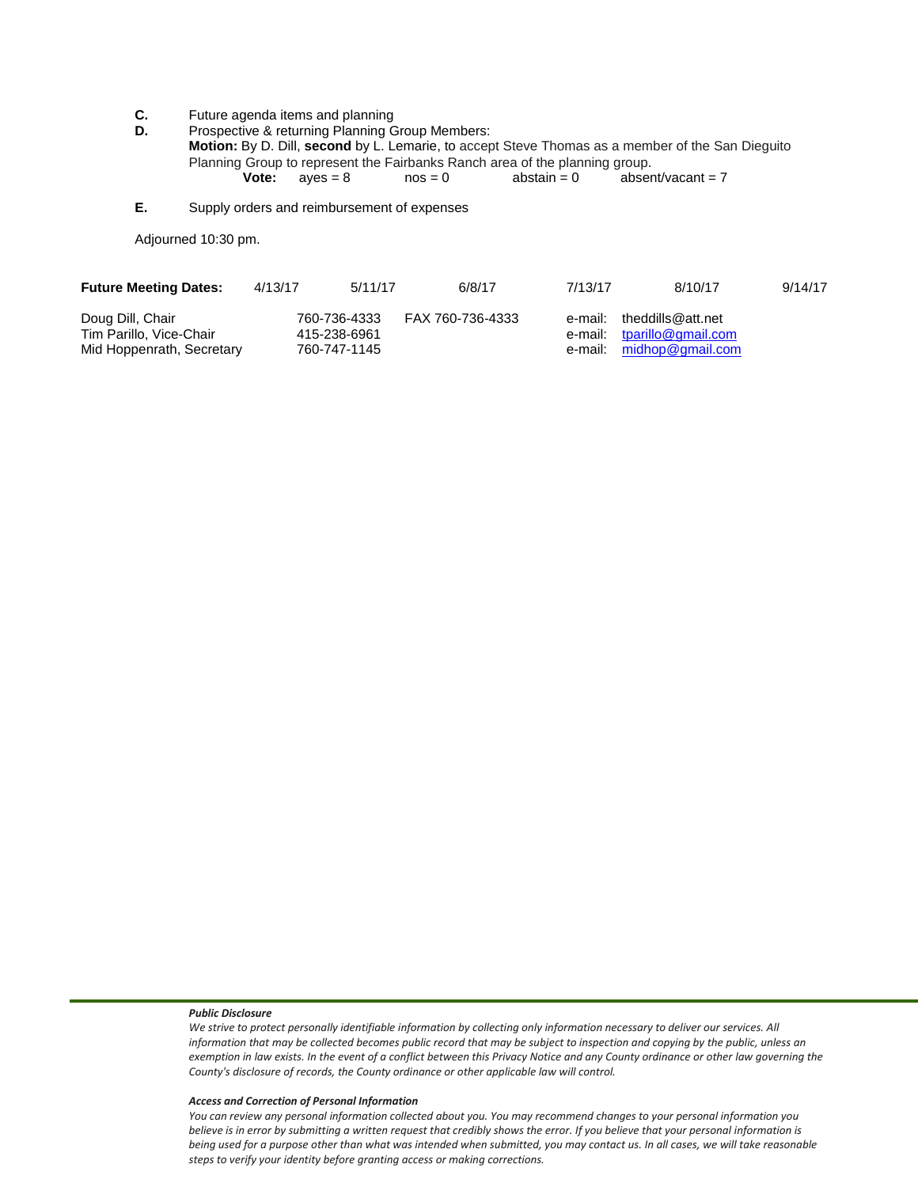**C.** Future agenda items and planning<br>**D.** Prospective & returning Planning G.

Prospective & returning Planning Group Members: **Motion:** By D. Dill, **second** by L. Lemarie, to accept Steve Thomas as a member of the San Dieguito Planning Group to represent the Fairbanks Ranch area of the planning group.<br> **Vote:**  $a$ yes = 8 nos = 0 abstain = 0 abser **Vote:**  $ayes = 8$  nos = 0  $abstain = 0$   $absent/vacant = 7$ 

**E.** Supply orders and reimbursement of expenses

Adjourned 10:30 pm.

| <b>Future Meeting Dates:</b>                | 4/13/17 | 5/11/17                      | 6/8/17           | 7/13/17 | 8/10/17                                                 | 9/14/17 |
|---------------------------------------------|---------|------------------------------|------------------|---------|---------------------------------------------------------|---------|
| Doug Dill, Chair<br>Tim Parillo, Vice-Chair |         | 760-736-4333<br>415-238-6961 | FAX 760-736-4333 |         | e-mail: theddills@att.net<br>e-mail: tparillo@gmail.com |         |
| Mid Hoppenrath, Secretary                   |         | 760-747-1145                 |                  |         | e-mail: midhop@gmail.com                                |         |

### *Public Disclosure*

*We strive to protect personally identifiable information by collecting only information necessary to deliver our services. All information that may be collected becomes public record that may be subject to inspection and copying by the public, unless an exemption in law exists. In the event of a conflict between this Privacy Notice and any County ordinance or other law governing the County's disclosure of records, the County ordinance or other applicable law will control.*

#### *Access and Correction of Personal Information*